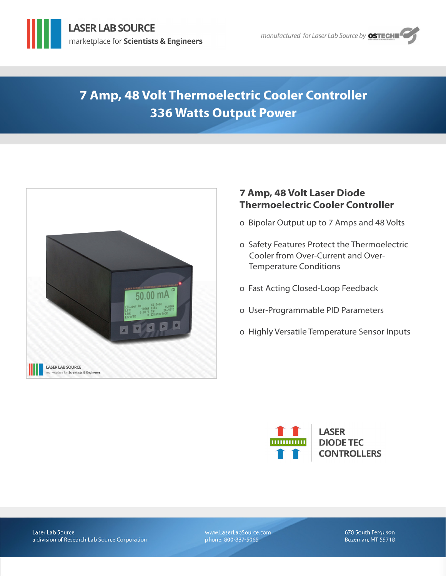

# **7 Amp, 48 Volt Thermoelectric Cooler Controller 336 Watts Output Power**



# **7 Amp, 48 Volt Laser Diode Thermoelectric Cooler Controller**

- ο Bipolar Output up to 7 Amps and 48 Volts
- ο Safety Features Protect the Thermoelectric Cooler from Over-Current and Over- Temperature Conditions
- ο Fast Acting Closed-Loop Feedback
- ο User-Programmable PID Parameters
- ο Highly Versatile Temperature Sensor Inputs



www.LaserLabSource.com phone: 800-887-5065

670 South Ferguson Bozeman, MT 59718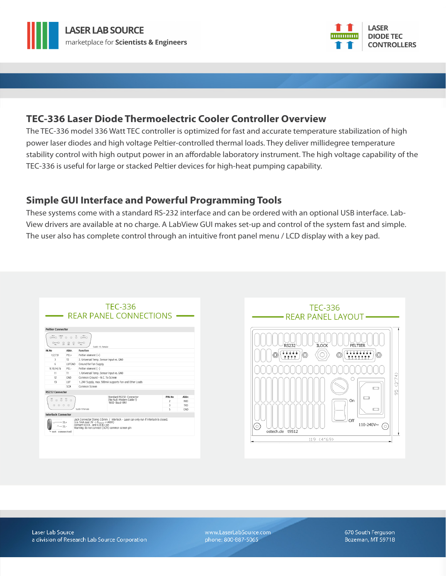



# **TEC-336 Laser Diode Thermoelectric Cooler Controller Overview**

The TEC-336 model 336 Watt TEC controller is optimized for fast and accurate temperature stabilization of high power laser diodes and high voltage Peltier-controlled thermal loads. They deliver millidegree temperature stability control with high output power in an affordable laboratory instrument. The high voltage capability of the TEC-336 is useful for large or stacked Peltier devices for high-heat pumping capability.

# **Simple GUI Interface and Powerful Programming Tools**

These systems come with a standard RS-232 interface and can be ordered with an optional USB interface. Lab-View drivers are available at no charge. A LabView GUI makes set-up and control of the system fast and simple. The user also has complete control through an intuitive front panel menu / LCD display with a key pad.



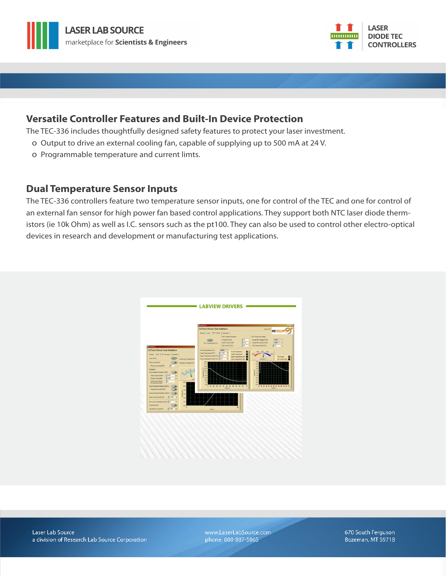



## **Versatile Controller Features and Built-In Device Protection**

The TEC-336 includes thoughtfully designed safety features to protect your laser investment.

- ο Output to drive an external cooling fan, capable of supplying up to 500 mA at 24 V.
- ο Programmable temperature and current limts.

### **Dual Temperature Sensor Inputs**

The TEC-336 controllers feature two temperature sensor inputs, one for control of the TEC and one for control of an external fan sensor for high power fan based control applications. They support both NTC laser diode thermistors (ie 10k Ohm) as well as I.C. sensors such as the pt100. They can also be used to control other electro-optical devices in research and development or manufacturing test applications.

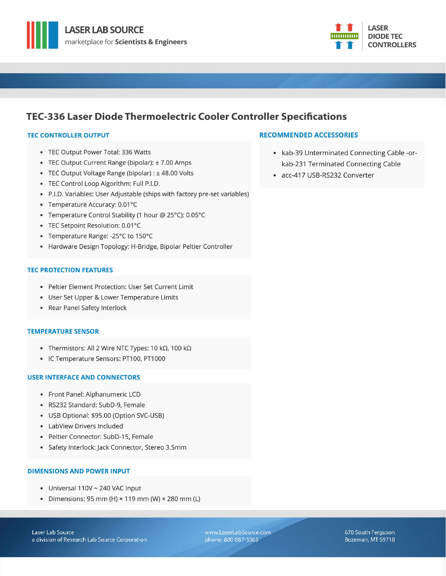



# TEC-336 Laser Diode Thermoelectric Cooler Controller Specifications

#### **TEC CONTROLLER OUTPUT**

- TEC Output Power Total: 336 Watts
- TEC Output Current Range (bipolar): ± 7.00 Amps
- TEC Output Voltage Range (bipolar) : ± 48.00 Volts
- TEC Control Loop Algorithm: Full P.I.D.
- P.I.D. Variables: User Adjustable (ships with factory pre-set variables)
- Temperature Accuracy: 0.01°C
- Temperature Control Stability (1 hour @ 25°C): 0.05°C
- TEC Setpoint Resolution: 0.01°C
- Temperature Range: -25°C to 150°C
- Hardware Design Topology: H-Bridge, Bipolar Peltier Controller

#### **TEC PROTECTION FEATURES**

- Peltier Element Protection: User Set Current Limit
- User Set Upper & Lower Temperature Limits
- Rear Panel Safety Interlock

#### **TEMPERATURE SENSOR**

- Thermistors: All 2 Wire NTC Types: 10 kΩ, 100 kΩ
- IC Temperature Sensors: PT100, PT1000

#### **USER INTERFACE AND CONNECTORS**

- Front Panel: Alphanumeric LCD
- · RS232 Standard: SubD-9, Female
- USB Optional: \$95.00 (Option SVC-USB)
- LabView Drivers Included
- · Peltier Connector: SubD-15, Female
- Safety Interlock: Jack Connector, Stereo 3.5mm

#### **DIMENSIONS AND POWER INPUT**

- Universal 110V ~ 240 VAC Input
- Dimensions: 95 mm (H)  $\times$  119 mm (W)  $\times$  280 mm (L)

#### **RECOMMENDED ACCESSORIES**

- kab-39 Unterminated Connecting Cable -orkab-231 Terminated Connecting Cable
- acc-417 USB-RS232 Converter

Laser Lab Source a division of Research Lab Source Corporation